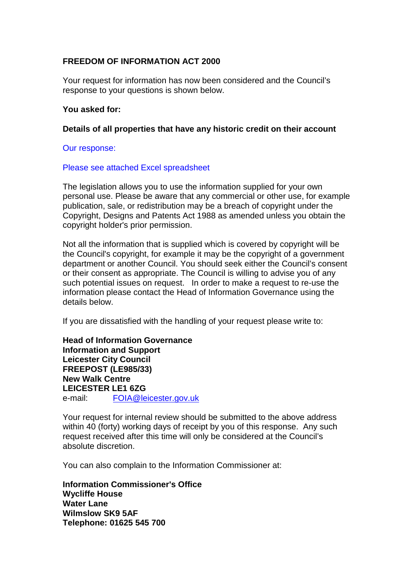# **FREEDOM OF INFORMATION ACT 2000**

Your request for information has now been considered and the Council's response to your questions is shown below.

# **You asked for:**

# **Details of all properties that have any historic credit on their account**

# Our response:

# Please see attached Excel spreadsheet

The legislation allows you to use the information supplied for your own personal use. Please be aware that any commercial or other use, for example publication, sale, or redistribution may be a breach of copyright under the Copyright, Designs and Patents Act 1988 as amended unless you obtain the copyright holder's prior permission.

Not all the information that is supplied which is covered by copyright will be the Council's copyright, for example it may be the copyright of a government department or another Council. You should seek either the Council's consent or their consent as appropriate. The Council is willing to advise you of any such potential issues on request. In order to make a request to re-use the information please contact the Head of Information Governance using the details below.

If you are dissatisfied with the handling of your request please write to:

**Head of Information Governance Information and Support Leicester City Council FREEPOST (LE985/33) New Walk Centre LEICESTER LE1 6ZG**  e-mail: FOIA@leicester.gov.uk

Your request for internal review should be submitted to the above address within 40 (forty) working days of receipt by you of this response. Any such request received after this time will only be considered at the Council's absolute discretion.

You can also complain to the Information Commissioner at:

**Information Commissioner's Office Wycliffe House Water Lane Wilmslow SK9 5AF Telephone: 01625 545 700**